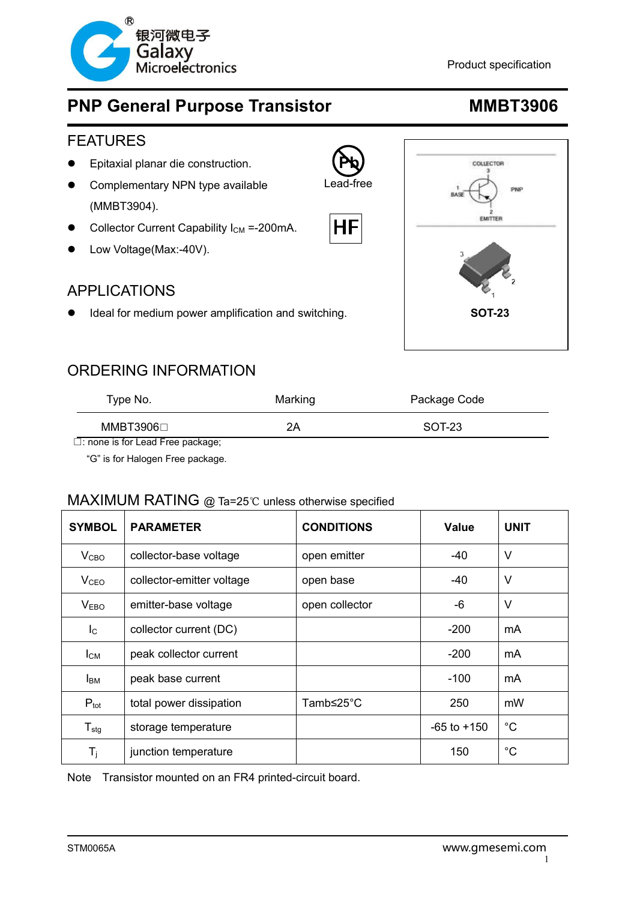

### **Product specification Product specification**

# **PNP General Purpose Transistor MMBT3906**

### FEATURES

- Epitaxial planar die construction.
- **•** Complementary NPN type available (MMBT3904).
- Collector Current Capability  $I_{CM} = -200$ mA.
- Low Voltage(Max:-40V).

### APPLICATIONS

Ideal for medium power amplification and switching. **SOT-23**



## ORDERING INFORMATION

| Type No.  | Marking | Package Code |
|-----------|---------|--------------|
| MMBT3906⊡ | 2Α      | SOT-23       |

**Pb** Lead-free

НF

□: none is for Lead Free package;

"G" is for Halogen Free package.

### MAXIMUM RATING @ Ta=25℃ unless otherwise specified

| <b>SYMBOL</b>             | <b>PARAMETER</b>          | <b>CONDITIONS</b> | Value           | <b>UNIT</b> |
|---------------------------|---------------------------|-------------------|-----------------|-------------|
| V <sub>CBO</sub>          | collector-base voltage    | open emitter      | $-40$           | $\vee$      |
| <b>V<sub>CEO</sub></b>    | collector-emitter voltage | open base         | -40             | $\vee$      |
| V <sub>EBO</sub>          | emitter-base voltage      | open collector    | -6              | V           |
| $\mathsf{I}_{\mathsf{C}}$ | collector current (DC)    |                   | $-200$          | mA          |
| $I_{CM}$                  | peak collector current    |                   | $-200$          | mA          |
| <b>I</b> <sub>BM</sub>    | peak base current         |                   | $-100$          | mA          |
| $P_{\text{tot}}$          | total power dissipation   | Tamb≤25°C         | 250             | mW          |
| $T_{\text{stg}}$          | storage temperature       |                   | $-65$ to $+150$ | $^{\circ}C$ |
| $T_i$                     | junction temperature      |                   | 150             | $^{\circ}C$ |

NoteTransistor mounted on an FR4 printed-circuit board.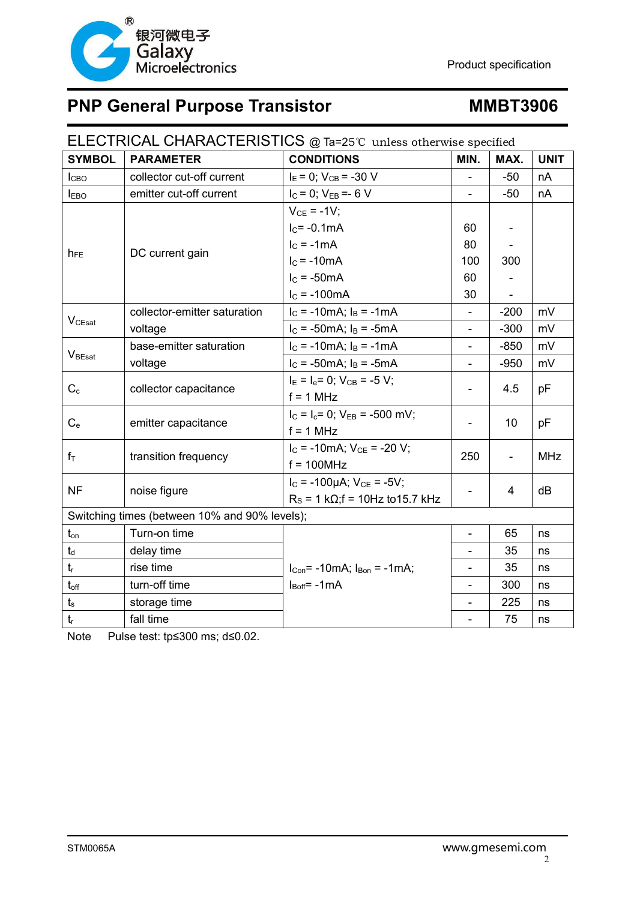

| ELECTRICAL CHARACTERISTICS @ Ta=25℃ unless otherwise specified |                              |                                             |                          |                              |             |
|----------------------------------------------------------------|------------------------------|---------------------------------------------|--------------------------|------------------------------|-------------|
| <b>SYMBOL</b>                                                  | <b>PARAMETER</b>             | <b>CONDITIONS</b>                           | MIN.                     | MAX.                         | <b>UNIT</b> |
| ICBO                                                           | collector cut-off current    | $I_E = 0$ ; $V_{CB} = -30$ V                |                          | $-50$                        | nA          |
| <b>IEBO</b>                                                    | emitter cut-off current      | $I_C = 0$ ; $V_{EB} = -6 V$                 |                          | $-50$                        | nA          |
|                                                                | DC current gain              | $V_{CE} = -1V$ ;                            |                          |                              |             |
|                                                                |                              | $I_C = -0.1mA$                              | 60                       |                              |             |
|                                                                |                              | $IC = -1mA$                                 | 80                       |                              |             |
| $h_{FE}$                                                       |                              | $IC = -10mA$                                | 100                      | 300                          |             |
|                                                                |                              | $IC = -50mA$                                | 60                       |                              |             |
|                                                                |                              | $I_{C} = -100mA$                            | 30                       |                              |             |
|                                                                | collector-emitter saturation | $I_C = -10mA$ ; $I_B = -1mA$                | $\overline{a}$           | $-200$                       | mV          |
| $V_{CEsat}$                                                    | voltage                      | $I_C = -50mA$ ; $I_B = -5mA$                |                          | $-300$                       | mV          |
|                                                                | base-emitter saturation      | $I_C = -10mA$ ; $I_B = -1mA$                |                          | $-850$                       | mV          |
| $\mathsf{V}_{\text{BEsat}}$                                    | voltage                      | $I_C = -50mA$ ; $I_B = -5mA$                | $\overline{\phantom{0}}$ | $-950$                       | mV          |
|                                                                | collector capacitance        | $I_E = I_e = 0$ ; $V_{CB} = -5 V$ ;         |                          | 4.5                          | pF          |
| $C_{c}$                                                        |                              | $f = 1$ MHz                                 |                          |                              |             |
|                                                                | emitter capacitance          | $I_C = I_c = 0$ ; $V_{EB} = -500$ mV;       | -                        | 10                           | рF          |
| $C_{e}$                                                        |                              | $f = 1$ MHz                                 |                          |                              |             |
| $f_{\top}$                                                     | transition frequency         | $I_C = -10mA$ ; $V_{CE} = -20 V$ ;          | 250                      | $\qquad \qquad \blacksquare$ | <b>MHz</b>  |
|                                                                |                              | $f = 100$ MHz                               |                          |                              |             |
| <b>NF</b>                                                      | noise figure                 | $I_C = -100\mu A$ ; $V_{CE} = -5V$ ;        |                          | 4                            | dB          |
|                                                                |                              | $R_S$ = 1 k $\Omega$ ; f = 10Hz to 15.7 kHz |                          |                              |             |
| Switching times (between 10% and 90% levels);                  |                              |                                             |                          |                              |             |
| $t_{\mathsf{on}}$                                              | Turn-on time                 |                                             | $\overline{a}$           | 65                           | ns          |
| $t_d$                                                          | delay time                   |                                             |                          | 35                           | ns          |
| $t_{r}$                                                        | rise time                    | $I_{Con} = -10mA$ ; $I_{Bon} = -1mA$ ;      | -                        | 35                           | ns          |
| $t_{\text{off}}$                                               | turn-off time                | $I_{\text{Boff}}$ = -1mA                    | $\overline{a}$           | 300                          | ns          |
| $t_s$                                                          | storage time                 |                                             | $\overline{\phantom{0}}$ | 225                          | ns          |
| $t_r$                                                          | fall time                    |                                             |                          | 75                           | ns          |

Note Pulse test: tp≤300 ms; d≤0.02.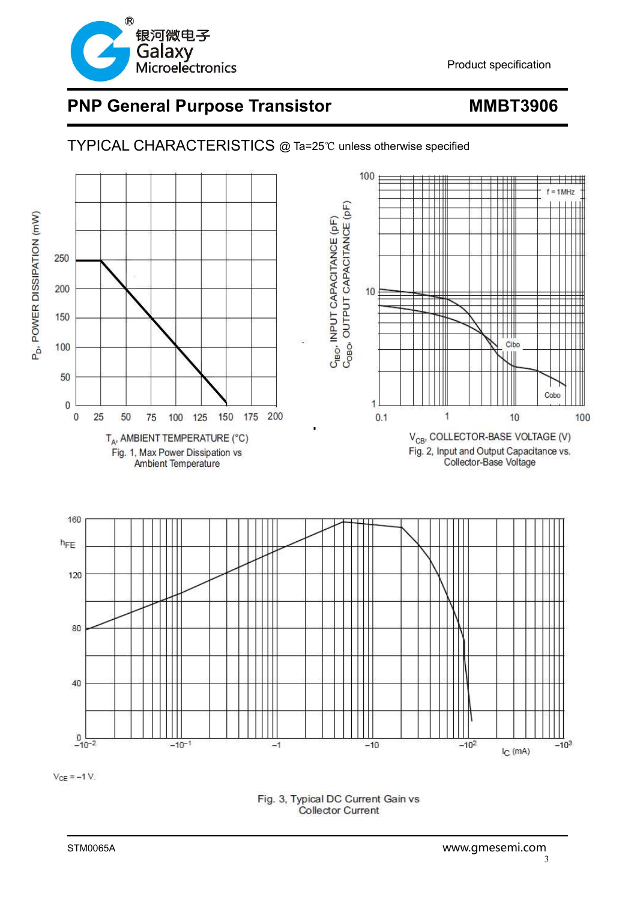

### 100  $= 1$ MHz C<sub>IBO</sub>, INPUT CAPACITANCE (pF)<br>C<sub>OBO</sub>, OUTPUT CAPACITANCE (pF) P<sub>D</sub>, POWER DISSIPATION (mW) 250 200  $10$ 150 Cibo 100 50 Cobo  $\overline{0}$  $\overline{\mathbf{1}}$  $\overline{1}$  $\overline{0}$ 25 50 75 100 125 150 175 200  $0.1$  $10$ 100  $\mathsf{V}_{\mathsf{CB'}}$  COLLECTOR-BASE VOLTAGE (V) T<sub>A</sub>, AMBIENT TEMPERATURE (°C) Fig. 2, Input and Output Capacitance vs. Fig. 1, Max Power Dissipation vs Collector-Base Voltage Ambient Temperature 160 hFE 120 80 40

TYPICAL CHARACTERISTICS @ Ta=25℃ unless otherwise specified

 $V_{CE} = -1 V$ .

 $0\frac{1}{-10^{-2}}$ 

 $-10^{-1}$ 

Fig. 3, Typical DC Current Gain vs **Collector Current** 

 $-1$ 

 $-10$ 

 $I_{C}$  (mA)

 $-10^3$ 

 $-10<sup>2</sup>$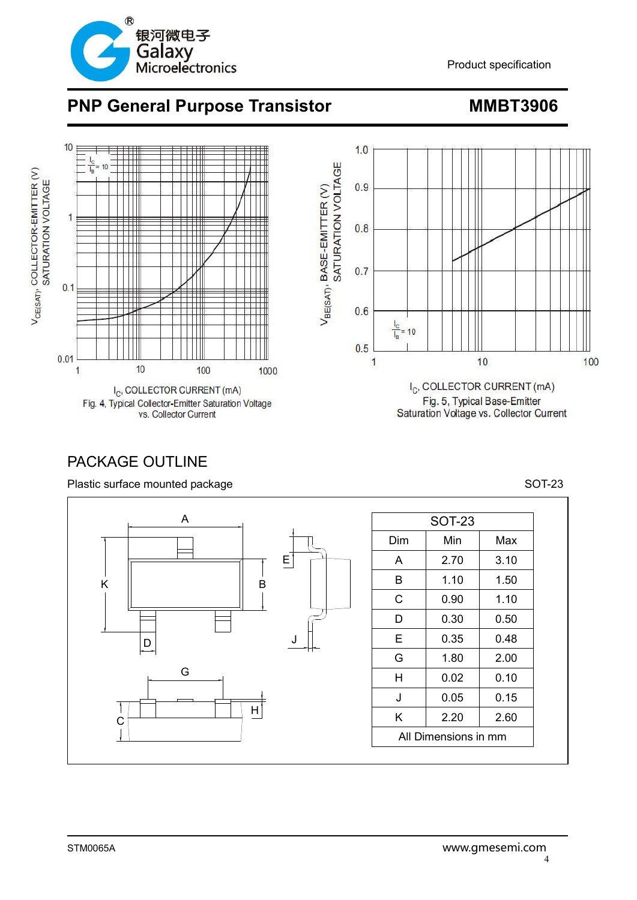



## PACKAGE OUTLINE

Plastic surface mounted package SOT-23



| <b>SOT-23</b>        |      |      |
|----------------------|------|------|
| Dim                  | Min  | Max  |
| A                    | 2.70 | 3.10 |
| в                    | 1.10 | 1.50 |
| С                    | 0.90 | 1.10 |
| D                    | 0.30 | 0.50 |
| Е                    | 0.35 | 0.48 |
| G                    | 1.80 | 2.00 |
| н                    | 0.02 | 0.10 |
| J                    | 0.05 | 0.15 |
| K                    | 2.20 | 2.60 |
| All Dimensions in mm |      |      |